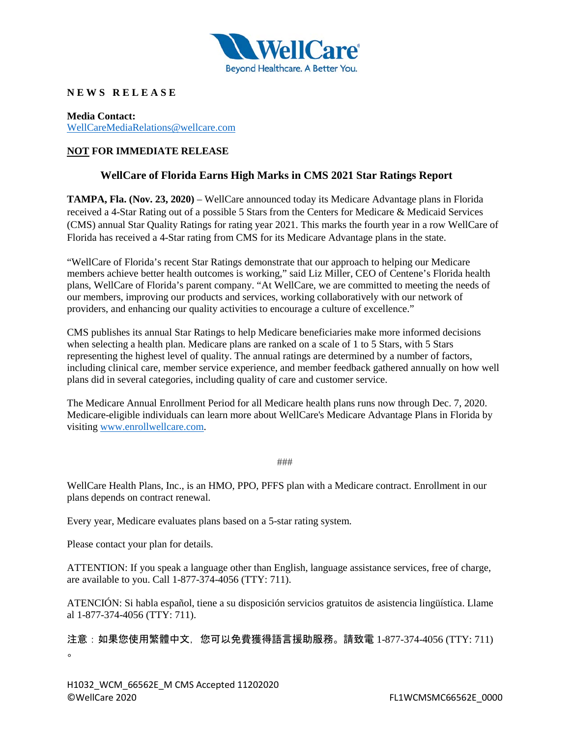

## **N E W S R E L E A S E**

**Media Contact:** [WellCareMediaRelations@wellcare.com](mailto:WellCareMediaRelations@wellcare.com)

## **NOT FOR IMMEDIATE RELEASE**

## **WellCare of Florida Earns High Marks in CMS 2021 Star Ratings Report**

**TAMPA, Fla. (Nov. 23, 2020)** – WellCare announced today its Medicare Advantage plans in Florida received a 4-Star Rating out of a possible 5 Stars from the Centers for Medicare & Medicaid Services (CMS) annual Star Quality Ratings for rating year 2021. This marks the fourth year in a row WellCare of Florida has received a 4-Star rating from CMS for its Medicare Advantage plans in the state.

"WellCare of Florida's recent Star Ratings demonstrate that our approach to helping our Medicare members achieve better health outcomes is working," said Liz Miller, CEO of Centene's Florida health plans, WellCare of Florida's parent company. "At WellCare, we are committed to meeting the needs of our members, improving our products and services, working collaboratively with our network of providers, and enhancing our quality activities to encourage a culture of excellence."

CMS publishes its annual Star Ratings to help Medicare beneficiaries make more informed decisions when selecting a health plan. Medicare plans are ranked on a scale of 1 to 5 Stars, with 5 Stars representing the highest level of quality. The annual ratings are determined by a number of factors, including clinical care, member service experience, and member feedback gathered annually on how well plans did in several categories, including quality of care and customer service.

The Medicare Annual Enrollment Period for all Medicare health plans runs now through Dec. 7, 2020. Medicare-eligible individuals can learn more about WellCare's Medicare Advantage Plans in Florida by visiting [www.enrollwellcare.com.](http://www.enrollwellcare.com/)

###

WellCare Health Plans, Inc., is an HMO, PPO, PFFS plan with a Medicare contract. Enrollment in our plans depends on contract renewal.

Every year, Medicare evaluates plans based on a 5-star rating system.

Please contact your plan for details.

ATTENTION: If you speak a language other than English, language assistance services, free of charge, are available to you. Call 1-877-374-4056 (TTY: 711).

ATENCIÓN: Si habla español, tiene a su disposición servicios gratuitos de asistencia lingüística. Llame al 1-877-374-4056 (TTY: 711).

注意:如果您使用繁體中文,您可以免費獲得語言援助服務。請致電 1-877-374-4056 (TTY: 711)  $\sim$